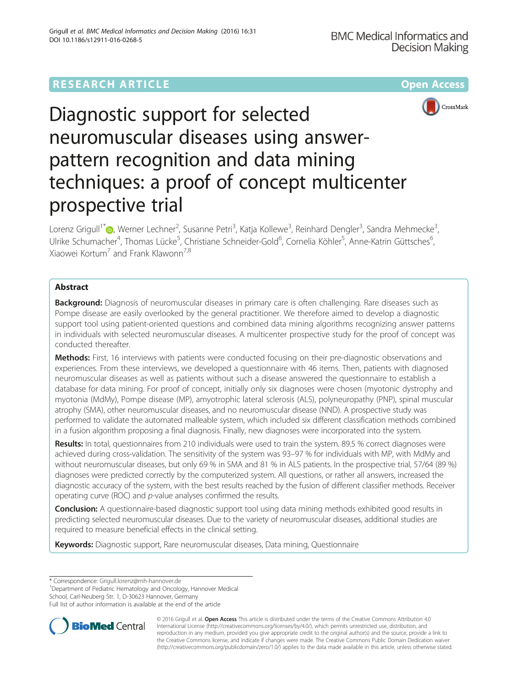# **RESEARCH ARTICLE Example 2014 12:30 The Contract of Contract Article 2014 12:30 The Open Access**





# Diagnostic support for selected neuromuscular diseases using answerpattern recognition and data mining techniques: a proof of concept multicenter prospective trial

Lorenz Grigull<sup>1\*</sup>©[,](http://orcid.org/0000-0001-8807-2874) Werner Lechner<sup>2</sup>, Susanne Petri<sup>3</sup>, Katja Kollewe<sup>3</sup>, Reinhard Dengler<sup>3</sup>, Sandra Mehmecke<sup>3</sup> , Ulrike Schumacher<sup>4</sup>, Thomas Lücke<sup>5</sup>, Christiane Schneider-Gold<sup>6</sup>, Cornelia Köhler<sup>5</sup>, Anne-Katrin Güttsches<sup>6</sup> , Xiaowei Kortum<sup>7</sup> and Frank Klawonn<sup>7,8</sup>

# Abstract

Background: Diagnosis of neuromuscular diseases in primary care is often challenging. Rare diseases such as Pompe disease are easily overlooked by the general practitioner. We therefore aimed to develop a diagnostic support tool using patient-oriented questions and combined data mining algorithms recognizing answer patterns in individuals with selected neuromuscular diseases. A multicenter prospective study for the proof of concept was conducted thereafter.

Methods: First, 16 interviews with patients were conducted focusing on their pre-diagnostic observations and experiences. From these interviews, we developed a questionnaire with 46 items. Then, patients with diagnosed neuromuscular diseases as well as patients without such a disease answered the questionnaire to establish a database for data mining. For proof of concept, initially only six diagnoses were chosen (myotonic dystrophy and myotonia (MdMy), Pompe disease (MP), amyotrophic lateral sclerosis (ALS), polyneuropathy (PNP), spinal muscular atrophy (SMA), other neuromuscular diseases, and no neuromuscular disease (NND). A prospective study was performed to validate the automated malleable system, which included six different classification methods combined in a fusion algorithm proposing a final diagnosis. Finally, new diagnoses were incorporated into the system.

Results: In total, questionnaires from 210 individuals were used to train the system. 89.5 % correct diagnoses were achieved during cross-validation. The sensitivity of the system was 93–97 % for individuals with MP, with MdMy and without neuromuscular diseases, but only 69 % in SMA and 81 % in ALS patients. In the prospective trial, 57/64 (89 %) diagnoses were predicted correctly by the computerized system. All questions, or rather all answers, increased the diagnostic accuracy of the system, with the best results reached by the fusion of different classifier methods. Receiver operating curve (ROC) and p-value analyses confirmed the results.

**Conclusion:** A questionnaire-based diagnostic support tool using data mining methods exhibited good results in predicting selected neuromuscular diseases. Due to the variety of neuromuscular diseases, additional studies are required to measure beneficial effects in the clinical setting.

Keywords: Diagnostic support, Rare neuromuscular diseases, Data mining, Questionnaire

\* Correspondence: [Grigull.lorenz@mh-hannover.de](mailto:Grigull.lorenz@mh-hannover.de) <sup>1</sup>

Department of Pediatric Hematology and Oncology, Hannover Medical

School, Carl-Neuberg Str. 1, D-30623 Hannover, Germany

Full list of author information is available at the end of the article



© 2016 Grigull et al. Open Access This article is distributed under the terms of the Creative Commons Attribution 4.0 International License [\(http://creativecommons.org/licenses/by/4.0/](http://creativecommons.org/licenses/by/4.0/)), which permits unrestricted use, distribution, and reproduction in any medium, provided you give appropriate credit to the original author(s) and the source, provide a link to the Creative Commons license, and indicate if changes were made. The Creative Commons Public Domain Dedication waiver [\(http://creativecommons.org/publicdomain/zero/1.0/](http://creativecommons.org/publicdomain/zero/1.0/)) applies to the data made available in this article, unless otherwise stated.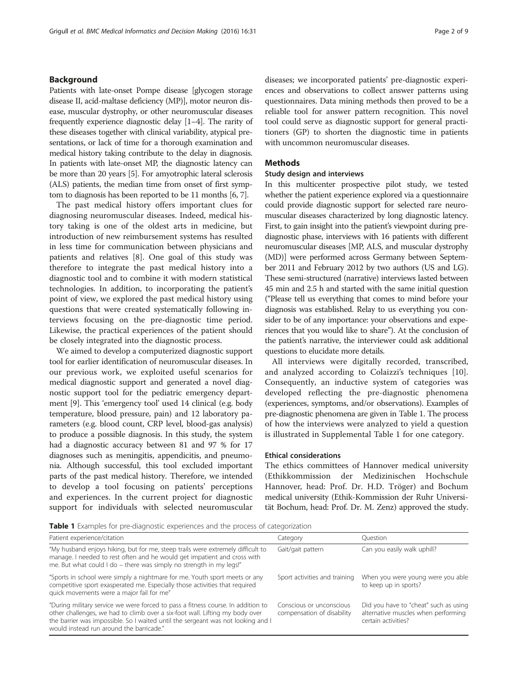# <span id="page-1-0"></span>Background

Patients with late-onset Pompe disease [glycogen storage disease II, acid-maltase deficiency (MP)], motor neuron disease, muscular dystrophy, or other neuromuscular diseases frequently experience diagnostic delay [\[1](#page-7-0)–[4](#page-7-0)]. The rarity of these diseases together with clinical variability, atypical presentations, or lack of time for a thorough examination and medical history taking contribute to the delay in diagnosis. In patients with late-onset MP, the diagnostic latency can be more than 20 years [\[5](#page-7-0)]. For amyotrophic lateral sclerosis (ALS) patients, the median time from onset of first symptom to diagnosis has been reported to be 11 months [\[6, 7](#page-7-0)].

The past medical history offers important clues for diagnosing neuromuscular diseases. Indeed, medical history taking is one of the oldest arts in medicine, but introduction of new reimbursement systems has resulted in less time for communication between physicians and patients and relatives [[8\]](#page-7-0). One goal of this study was therefore to integrate the past medical history into a diagnostic tool and to combine it with modern statistical technologies. In addition, to incorporating the patient's point of view, we explored the past medical history using questions that were created systematically following interviews focusing on the pre-diagnostic time period. Likewise, the practical experiences of the patient should be closely integrated into the diagnostic process.

We aimed to develop a computerized diagnostic support tool for earlier identification of neuromuscular diseases. In our previous work, we exploited useful scenarios for medical diagnostic support and generated a novel diagnostic support tool for the pediatric emergency department [[9](#page-7-0)]. This 'emergency tool' used 14 clinical (e.g. body temperature, blood pressure, pain) and 12 laboratory parameters (e.g. blood count, CRP level, blood-gas analysis) to produce a possible diagnosis. In this study, the system had a diagnostic accuracy between 81 and 97 % for 17 diagnoses such as meningitis, appendicitis, and pneumonia. Although successful, this tool excluded important parts of the past medical history. Therefore, we intended to develop a tool focusing on patients' perceptions and experiences. In the current project for diagnostic support for individuals with selected neuromuscular diseases; we incorporated patients' pre-diagnostic experiences and observations to collect answer patterns using questionnaires. Data mining methods then proved to be a reliable tool for answer pattern recognition. This novel tool could serve as diagnostic support for general practitioners (GP) to shorten the diagnostic time in patients with uncommon neuromuscular diseases.

# **Methods**

# Study design and interviews

In this multicenter prospective pilot study, we tested whether the patient experience explored via a questionnaire could provide diagnostic support for selected rare neuromuscular diseases characterized by long diagnostic latency. First, to gain insight into the patient's viewpoint during prediagnostic phase, interviews with 16 patients with different neuromuscular diseases [MP, ALS, and muscular dystrophy (MD)] were performed across Germany between September 2011 and February 2012 by two authors (US and LG). These semi-structured (narrative) interviews lasted between 45 min and 2.5 h and started with the same initial question ("Please tell us everything that comes to mind before your diagnosis was established. Relay to us everything you consider to be of any importance: your observations and experiences that you would like to share"). At the conclusion of the patient's narrative, the interviewer could ask additional questions to elucidate more details.

All interviews were digitally recorded, transcribed, and analyzed according to Colaizzi's techniques [\[10](#page-7-0)]. Consequently, an inductive system of categories was developed reflecting the pre-diagnostic phenomena (experiences, symptoms, and/or observations). Examples of pre-diagnostic phenomena are given in Table 1. The process of how the interviews were analyzed to yield a question is illustrated in Supplemental Table 1 for one category.

#### Ethical considerations

The ethics committees of Hannover medical university (Ethikkommission der Medizinischen Hochschule Hannover, head: Prof. Dr. H.D. Tröger) and Bochum medical university (Ethik-Kommission der Ruhr Universität Bochum, head: Prof. Dr. M. Zenz) approved the study.

**Table 1** Examples for pre-diagnostic experiences and the process of categorization

| Patient experience/citation                                                                                                                                                                                                                                                                      | Category                                               | <b>Ouestion</b>                                                                                     |
|--------------------------------------------------------------------------------------------------------------------------------------------------------------------------------------------------------------------------------------------------------------------------------------------------|--------------------------------------------------------|-----------------------------------------------------------------------------------------------------|
| "My husband enjoys hiking, but for me, steep trails were extremely difficult to<br>manage. I needed to rest often and he would get impatient and cross with<br>me. But what could I do – there was simply no strength in my legs!"                                                               | Gait/gait pattern                                      | Can you easily walk uphill?                                                                         |
| "Sports in school were simply a nightmare for me. Youth sport meets or any<br>competitive sport exasperated me. Especially those activities that required<br>quick movements were a major fail for me"                                                                                           | Sport activities and training                          | When you were young were you able<br>to keep up in sports?                                          |
| "During military service we were forced to pass a fitness course. In addition to<br>other challenges, we had to climb over a six-foot wall. Lifting my body over<br>the barrier was impossible. So I waited until the sergeant was not looking and I<br>would instead run around the barricade." | Conscious or unconscious<br>compensation of disability | Did you have to "cheat" such as using<br>alternative muscles when performing<br>certain activities? |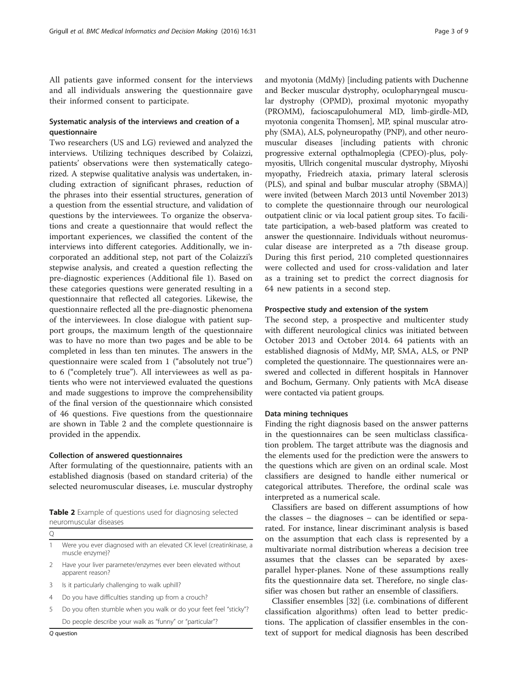<span id="page-2-0"></span>All patients gave informed consent for the interviews and all individuals answering the questionnaire gave their informed consent to participate.

# Systematic analysis of the interviews and creation of a questionnaire

Two researchers (US and LG) reviewed and analyzed the interviews. Utilizing techniques described by Colaizzi, patients' observations were then systematically categorized. A stepwise qualitative analysis was undertaken, including extraction of significant phrases, reduction of the phrases into their essential structures, generation of a question from the essential structure, and validation of questions by the interviewees. To organize the observations and create a questionnaire that would reflect the important experiences, we classified the content of the interviews into different categories. Additionally, we incorporated an additional step, not part of the Colaizzi's stepwise analysis, and created a question reflecting the pre-diagnostic experiences (Additional file [1\)](#page-7-0). Based on these categories questions were generated resulting in a questionnaire that reflected all categories. Likewise, the questionnaire reflected all the pre-diagnostic phenomena of the interviewees. In close dialogue with patient support groups, the maximum length of the questionnaire was to have no more than two pages and be able to be completed in less than ten minutes. The answers in the questionnaire were scaled from 1 ("absolutely not true") to 6 ("completely true"). All interviewees as well as patients who were not interviewed evaluated the questions and made suggestions to improve the comprehensibility of the final version of the questionnaire which consisted of 46 questions. Five questions from the questionnaire are shown in Table 2 and the complete questionnaire is provided in the appendix.

#### Collection of answered questionnaires

After formulating of the questionnaire, patients with an established diagnosis (based on standard criteria) of the selected neuromuscular diseases, i.e. muscular dystrophy

| <b>Table 2</b> Example of questions used for diagnosing selected |  |  |  |
|------------------------------------------------------------------|--|--|--|
| neuromuscular diseases                                           |  |  |  |

| <br>۰. |  |
|--------|--|
| ×      |  |
|        |  |

1 Were you ever diagnosed with an elevated CK level (creatinkinase, a muscle enzyme)?

2 Have your liver parameter/enzymes ever been elevated without apparent reason?

- 3 Is it particularly challenging to walk uphill?
- 4 Do you have difficulties standing up from a crouch?
- 5 Do you often stumble when you walk or do your feet feel "sticky"? Do people describe your walk as "funny" or "particular"?

Q question

and myotonia (MdMy) [including patients with Duchenne and Becker muscular dystrophy, oculopharyngeal muscular dystrophy (OPMD), proximal myotonic myopathy (PROMM), facioscapulohumeral MD, limb-girdle-MD, myotonia congenita Thomsen], MP, spinal muscular atrophy (SMA), ALS, polyneuropathy (PNP), and other neuromuscular diseases [including patients with chronic progressive external opthalmoplegia (CPEO)-plus, polymyositis, Ullrich congenital muscular dystrophy, Miyoshi myopathy, Friedreich ataxia, primary lateral sclerosis (PLS), and spinal and bulbar muscular atrophy (SBMA)] were invited (between March 2013 until November 2013) to complete the questionnaire through our neurological outpatient clinic or via local patient group sites. To facilitate participation, a web-based platform was created to answer the questionnaire. Individuals without neuromuscular disease are interpreted as a 7th disease group. During this first period, 210 completed questionnaires were collected and used for cross-validation and later as a training set to predict the correct diagnosis for 64 new patients in a second step.

#### Prospective study and extension of the system

The second step, a prospective and multicenter study with different neurological clinics was initiated between October 2013 and October 2014. 64 patients with an established diagnosis of MdMy, MP, SMA, ALS, or PNP completed the questionnaire. The questionnaires were answered and collected in different hospitals in Hannover and Bochum, Germany. Only patients with McA disease were contacted via patient groups.

### Data mining techniques

Finding the right diagnosis based on the answer patterns in the questionnaires can be seen multiclass classification problem. The target attribute was the diagnosis and the elements used for the prediction were the answers to the questions which are given on an ordinal scale. Most classifiers are designed to handle either numerical or categorical attributes. Therefore, the ordinal scale was interpreted as a numerical scale.

Classifiers are based on different assumptions of how the classes – the diagnoses – can be identified or separated. For instance, linear discriminant analysis is based on the assumption that each class is represented by a multivariate normal distribution whereas a decision tree assumes that the classes can be separated by axesparallel hyper-planes. None of these assumptions really fits the questionnaire data set. Therefore, no single classifier was chosen but rather an ensemble of classifiers.

Classifier ensembles [\[32](#page-8-0)] (i.e. combinations of different classification algorithms) often lead to better predictions. The application of classifier ensembles in the context of support for medical diagnosis has been described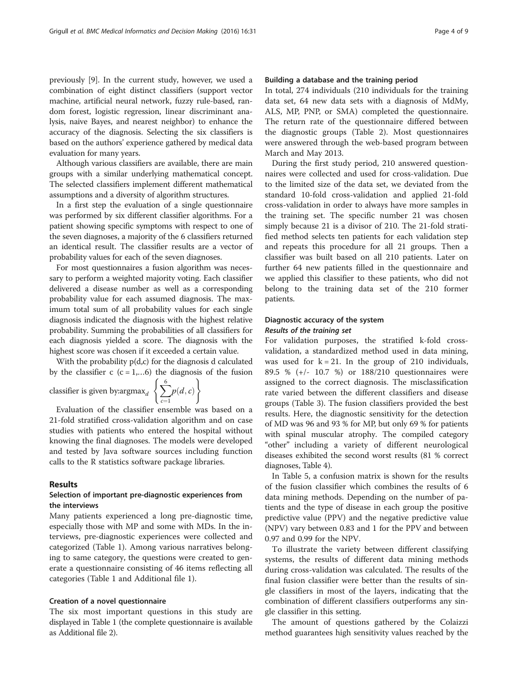previously [[9](#page-7-0)]. In the current study, however, we used a combination of eight distinct classifiers (support vector machine, artificial neural network, fuzzy rule-based, random forest, logistic regression, linear discriminant analysis, naive Bayes, and nearest neighbor) to enhance the accuracy of the diagnosis. Selecting the six classifiers is based on the authors' experience gathered by medical data evaluation for many years.

Although various classifiers are available, there are main groups with a similar underlying mathematical concept. The selected classifiers implement different mathematical assumptions and a diversity of algorithm structures.

In a first step the evaluation of a single questionnaire was performed by six different classifier algorithms. For a patient showing specific symptoms with respect to one of the seven diagnoses, a majority of the 6 classifiers returned an identical result. The classifier results are a vector of probability values for each of the seven diagnoses.

For most questionnaires a fusion algorithm was necessary to perform a weighted majority voting. Each classifier delivered a disease number as well as a corresponding probability value for each assumed diagnosis. The maximum total sum of all probability values for each single diagnosis indicated the diagnosis with the highest relative probability. Summing the probabilities of all classifiers for each diagnosis yielded a score. The diagnosis with the highest score was chosen if it exceeded a certain value.

With the probability  $p(d,c)$  for the diagnosis d calculated by the classifier c  $(c = 1,...6)$  the diagnosis of the fusion

classifier is given by: argmax $_d \triangleleft$ 

$$
\left\{\sum_{c=1}^{6} p(d, c)\right\}
$$

Evaluation of the classifier ensemble was based on a 21-fold stratified cross-validation algorithm and on case studies with patients who entered the hospital without knowing the final diagnoses. The models were developed and tested by Java software sources including function calls to the R statistics software package libraries.

#### Results

# Selection of important pre-diagnostic experiences from the interviews

Many patients experienced a long pre-diagnostic time, especially those with MP and some with MDs. In the interviews, pre-diagnostic experiences were collected and categorized (Table [1](#page-1-0)). Among various narratives belonging to same category, the questions were created to generate a questionnaire consisting of 46 items reflecting all categories (Table [1](#page-1-0) and Additional file [1\)](#page-7-0).

#### Creation of a novel questionnaire

The six most important questions in this study are displayed in Table [1](#page-1-0) (the complete questionnaire is available as Additional file [2](#page-7-0)).

#### Building a database and the training period

In total, 274 individuals (210 individuals for the training data set, 64 new data sets with a diagnosis of MdMy, ALS, MP, PNP, or SMA) completed the questionnaire. The return rate of the questionnaire differed between the diagnostic groups (Table [2\)](#page-2-0). Most questionnaires were answered through the web-based program between March and May 2013.

During the first study period, 210 answered questionnaires were collected and used for cross-validation. Due to the limited size of the data set, we deviated from the standard 10-fold cross-validation and applied 21-fold cross-validation in order to always have more samples in the training set. The specific number 21 was chosen simply because 21 is a divisor of 210. The 21-fold stratified method selects ten patients for each validation step and repeats this procedure for all 21 groups. Then a classifier was built based on all 210 patients. Later on further 64 new patients filled in the questionnaire and we applied this classifier to these patients, who did not belong to the training data set of the 210 former patients.

# Diagnostic accuracy of the system Results of the training set

For validation purposes, the stratified k-fold crossvalidation, a standardized method used in data mining, was used for  $k = 21$ . In the group of 210 individuals, 89.5 % (+/- 10.7 %) or 188/210 questionnaires were assigned to the correct diagnosis. The misclassification rate varied between the different classifiers and disease groups (Table [3](#page-4-0)). The fusion classifiers provided the best results. Here, the diagnostic sensitivity for the detection of MD was 96 and 93 % for MP, but only 69 % for patients with spinal muscular atrophy. The compiled category "other" including a variety of different neurological diseases exhibited the second worst results (81 % correct diagnoses, Table [4\)](#page-4-0).

In Table [5,](#page-5-0) a confusion matrix is shown for the results of the fusion classifier which combines the results of 6 data mining methods. Depending on the number of patients and the type of disease in each group the positive predictive value (PPV) and the negative predictive value (NPV) vary between 0.83 and 1 for the PPV and between 0.97 and 0.99 for the NPV.

To illustrate the variety between different classifying systems, the results of different data mining methods during cross-validation was calculated. The results of the final fusion classifier were better than the results of single classifiers in most of the layers, indicating that the combination of different classifiers outperforms any single classifier in this setting.

The amount of questions gathered by the Colaizzi method guarantees high sensitivity values reached by the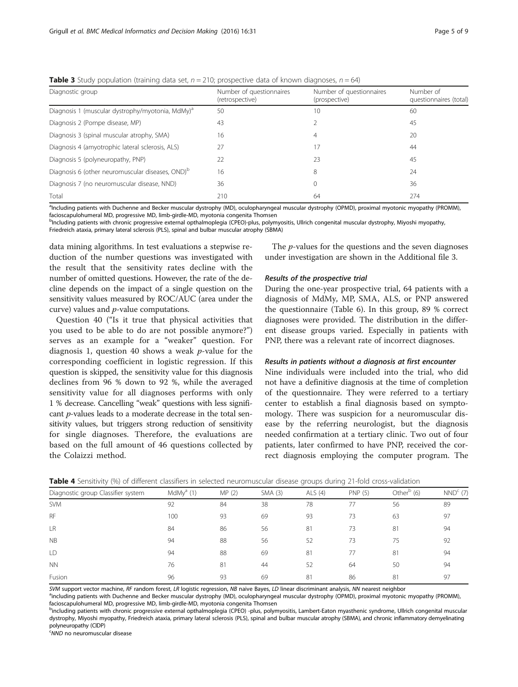| Diagnostic group                                             | Number of questionnaires<br>(retrospective) | Number of questionnaires<br>(prospective) | Number of<br>questionnaires (total) |
|--------------------------------------------------------------|---------------------------------------------|-------------------------------------------|-------------------------------------|
| Diagnosis 1 (muscular dystrophy/myotonia, MdMy) <sup>a</sup> | 50                                          | 10                                        | 60                                  |
| Diagnosis 2 (Pompe disease, MP)                              | 43                                          |                                           | 45                                  |
| Diagnosis 3 (spinal muscular atrophy, SMA)                   | 16                                          | 4                                         | 20                                  |
| Diagnosis 4 (amyotrophic lateral sclerosis, ALS)             | 27                                          | 17                                        | 44                                  |
| Diagnosis 5 (polyneuropathy, PNP)                            | 22                                          | 23                                        | 45                                  |
| Diagnosis 6 (other neuromuscular diseases, OND) <sup>b</sup> | 16                                          | 8                                         | 24                                  |
| Diagnosis 7 (no neuromuscular disease, NND)                  | 36                                          | 0                                         | 36                                  |
| Total                                                        | 210                                         | 64                                        | 274                                 |

<span id="page-4-0"></span>**Table 3** Study population (training data set,  $n = 210$ ; prospective data of known diagnoses,  $n = 64$ )

<sup>a</sup>Including patients with Duchenne and Becker muscular dystrophy (MD), oculopharyngeal muscular dystrophy (OPMD), proximal myotonic myopathy (PROMM), facioscapulohumeral MD, progressive MD, limb-girdle-MD, myotonia congenita Thomsen

b<br><sup>b</sup>Including patients with chronic progressive external opthalmoplegia (CPEO)-plus, polymyositis, Ullrich congenital muscular dystrophy, Miyoshi myopathy, Friedreich ataxia, primary lateral sclerosis (PLS), spinal and bulbar muscular atrophy (SBMA)

data mining algorithms. In test evaluations a stepwise reduction of the number questions was investigated with the result that the sensitivity rates decline with the number of omitted questions. However, the rate of the decline depends on the impact of a single question on the sensitivity values measured by ROC/AUC (area under the curve) values and p-value computations.

Question 40 ("Is it true that physical activities that you used to be able to do are not possible anymore?") serves as an example for a "weaker" question. For diagnosis 1, question 40 shows a weak  $p$ -value for the corresponding coefficient in logistic regression. If this question is skipped, the sensitivity value for this diagnosis declines from 96 % down to 92 %, while the averaged sensitivity value for all diagnoses performs with only 1 % decrease. Cancelling "weak" questions with less significant p-values leads to a moderate decrease in the total sensitivity values, but triggers strong reduction of sensitivity for single diagnoses. Therefore, the evaluations are based on the full amount of 46 questions collected by the Colaizzi method.

The p-values for the questions and the seven diagnoses under investigation are shown in the Additional file [3](#page-7-0).

### Results of the prospective trial

During the one-year prospective trial, 64 patients with a diagnosis of MdMy, MP, SMA, ALS, or PNP answered the questionnaire (Table [6\)](#page-5-0). In this group, 89 % correct diagnoses were provided. The distribution in the different disease groups varied. Especially in patients with PNP, there was a relevant rate of incorrect diagnoses.

#### Results in patients without a diagnosis at first encounter

Nine individuals were included into the trial, who did not have a definitive diagnosis at the time of completion of the questionnaire. They were referred to a tertiary center to establish a final diagnosis based on symptomology. There was suspicion for a neuromuscular disease by the referring neurologist, but the diagnosis needed confirmation at a tertiary clinic. Two out of four patients, later confirmed to have PNP, received the correct diagnosis employing the computer program. The

| Diagnostic group Classifier system | MdMy <sup>a</sup> (1) | MP(2) | SMA(3) | ALS $(4)$ | <b>PNP (5)</b> | Other $b$ (6) | $NNDc$ (7) |
|------------------------------------|-----------------------|-------|--------|-----------|----------------|---------------|------------|
| <b>SVM</b>                         | 92                    | 84    | 38     | 78        | 77             | 56            | 89         |
| <b>RF</b>                          | 100                   | 93    | 69     | 93        | 73             | 63            | 97         |
| LR                                 | 84                    | 86    | 56     | 81        | 73             | 81            | 94         |
| <b>NB</b>                          | 94                    | 88    | 56     | 52        | 73             | 75            | 92         |
| LD                                 | 94                    | 88    | 69     | 81        | 77             | 81            | 94         |
| <b>NN</b>                          | 76                    | 81    | 44     | 52        | 64             | 50            | 94         |
| Fusion                             | 96                    | 93    | 69     | 81        | 86             | 81            | 97         |

Table 4 Sensitivity (%) of different classifiers in selected neuromuscular disease groups during 21-fold cross-validation

SVM support vector machine, RF random forest, LR logistic regression, NB naive Bayes, LD linear discriminant analysis, NN nearest neighbor

<sup>a</sup>including patients with Duchenne and Becker muscular dystrophy (MD), oculopharyngeal muscular dystrophy (OPMD), proximal myotonic myopathy (PROMM), facioscapulohumeral MD, progressive MD, limb-girdle-MD, myotonia congenita Thomsen

<sup>b</sup>including patients with chronic progressive external opthalmoplegia (CPEO) -plus, polymyositis, Lambert-Eaton myasthenic syndrome, Ullrich congenital muscular dystrophy, Miyoshi myopathy, Friedreich ataxia, primary lateral sclerosis (PLS), spinal and bulbar muscular atrophy (SBMA), and chronic inflammatory demyelinating polyneuropathy (CIDP)

<sup>c</sup>NND no neuromuscular disease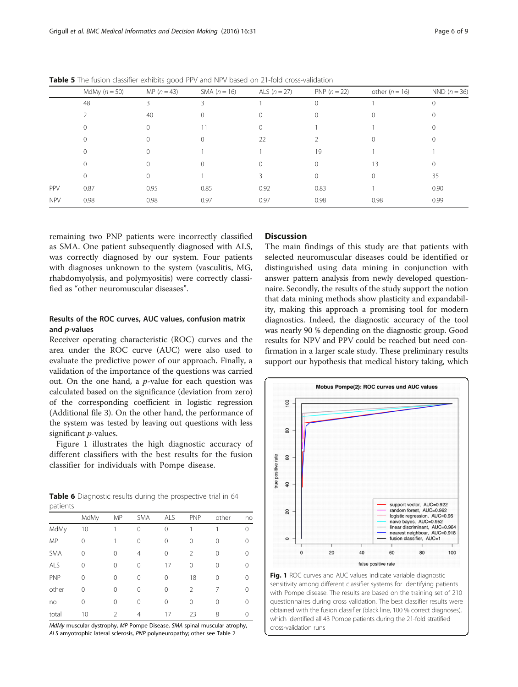|            | MdMy $(n = 50)$ | MP $(n = 43)$ | SMA $(n = 16)$ | ALS $(n = 27)$ | PNP $(n = 22)$ | other $(n = 16)$ | NND $(n = 36)$ |
|------------|-----------------|---------------|----------------|----------------|----------------|------------------|----------------|
|            | 48              |               | 3              |                | $\Omega$       |                  | 0              |
|            |                 | 40            | 0              |                |                |                  |                |
|            | 0               |               |                | 0              |                |                  | 0              |
|            | 0               |               |                | 22             |                |                  |                |
|            | $\Omega$        |               |                |                | 19             |                  |                |
|            | 0               |               |                | 0              |                | 13               | 0              |
|            | $\Omega$        |               |                |                |                |                  | 35             |
| PPV        | 0.87            | 0.95          | 0.85           | 0.92           | 0.83           |                  | 0.90           |
| <b>NPV</b> | 0.98            | 0.98          | 0.97           | 0.97           | 0.98           | 0.98             | 0.99           |

<span id="page-5-0"></span>Table 5 The fusion classifier exhibits good PPV and NPV based on 21-fold cross-validation

remaining two PNP patients were incorrectly classified as SMA. One patient subsequently diagnosed with ALS, was correctly diagnosed by our system. Four patients with diagnoses unknown to the system (vasculitis, MG, rhabdomyolysis, and polymyositis) were correctly classified as "other neuromuscular diseases".

# Results of the ROC curves, AUC values, confusion matrix and p-values

Receiver operating characteristic (ROC) curves and the area under the ROC curve (AUC) were also used to evaluate the predictive power of our approach. Finally, a validation of the importance of the questions was carried out. On the one hand, a  $p$ -value for each question was calculated based on the significance (deviation from zero) of the corresponding coefficient in logistic regression (Additional file [3\)](#page-7-0). On the other hand, the performance of the system was tested by leaving out questions with less significant *p*-values.

Figure 1 illustrates the high diagnostic accuracy of different classifiers with the best results for the fusion classifier for individuals with Pompe disease.

|          |  |  | <b>Table 6</b> Diagnostic results during the prospective trial in 64 |  |  |
|----------|--|--|----------------------------------------------------------------------|--|--|
| patients |  |  |                                                                      |  |  |

|            | MdMy     | MP             | <b>SMA</b> | ALS | <b>PNP</b>     | other | no |
|------------|----------|----------------|------------|-----|----------------|-------|----|
| MdMy       | 10       |                | 0          | 0   |                |       | 0  |
| MP         | $\Omega$ |                | 0          | 0   | 0              | 0     | 0  |
| <b>SMA</b> | $\Omega$ | 0              | 4          | 0   | 2              | 0     | 0  |
| ALS        | $\Omega$ | 0              | 0          | 17  | 0              | 0     | 0  |
| PNP        | $\Omega$ | 0              | 0          | 0   | 18             | 0     | 0  |
| other      | $\Omega$ | $\Omega$       | 0          | 0   | $\mathfrak{D}$ | 7     | 0  |
| no         | 0        | $\Omega$       | 0          | 0   | 0              | 0     | 0  |
| total      | 10       | $\mathfrak{D}$ | 4          | 17  | 23             | 8     | 0  |

MdMy muscular dystrophy, MP Pompe Disease, SMA spinal muscular atrophy, ALS amyotrophic lateral sclerosis, PNP polyneuropathy; other see Table [2](#page-2-0)

# **Discussion**

The main findings of this study are that patients with selected neuromuscular diseases could be identified or distinguished using data mining in conjunction with answer pattern analysis from newly developed questionnaire. Secondly, the results of the study support the notion that data mining methods show plasticity and expandability, making this approach a promising tool for modern diagnostics. Indeed, the diagnostic accuracy of the tool was nearly 90 % depending on the diagnostic group. Good results for NPV and PPV could be reached but need confirmation in a larger scale study. These preliminary results support our hypothesis that medical history taking, which



Fig. 1 ROC curves and AUC values indicate variable diagnostic sensitivity among different classifier systems for identifying patients with Pompe disease. The results are based on the training set of 210 questionnaires during cross validation. The best classifier results were obtained with the fusion classifier (black line, 100 % correct diagnoses), which identified all 43 Pompe patients during the 21-fold stratified cross-validation runs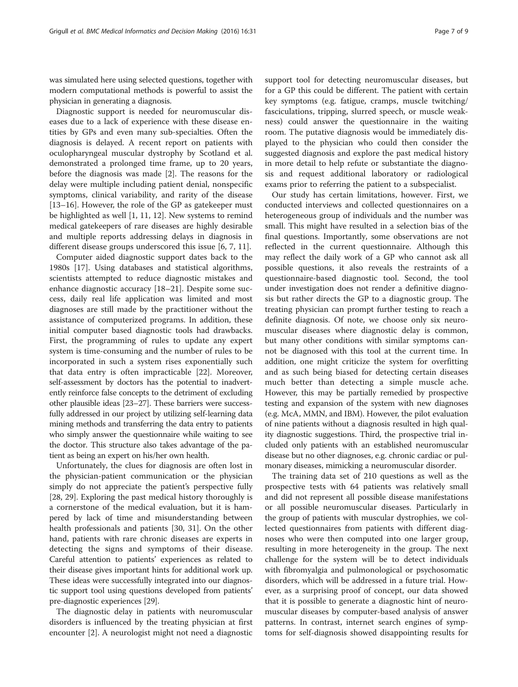was simulated here using selected questions, together with modern computational methods is powerful to assist the physician in generating a diagnosis.

Diagnostic support is needed for neuromuscular diseases due to a lack of experience with these disease entities by GPs and even many sub-specialties. Often the diagnosis is delayed. A recent report on patients with oculopharyngeal muscular dystrophy by Scotland et al. demonstrated a prolonged time frame, up to 20 years, before the diagnosis was made [\[2\]](#page-7-0). The reasons for the delay were multiple including patient denial, nonspecific symptoms, clinical variability, and rarity of the disease [[13](#page-7-0)–[16](#page-8-0)]. However, the role of the GP as gatekeeper must be highlighted as well [\[1](#page-7-0), [11](#page-7-0), [12\]](#page-7-0). New systems to remind medical gatekeepers of rare diseases are highly desirable and multiple reports addressing delays in diagnosis in different disease groups underscored this issue [[6, 7, 11\]](#page-7-0).

Computer aided diagnostic support dates back to the 1980s [\[17](#page-8-0)]. Using databases and statistical algorithms, scientists attempted to reduce diagnostic mistakes and enhance diagnostic accuracy [\[18](#page-8-0)–[21\]](#page-8-0). Despite some success, daily real life application was limited and most diagnoses are still made by the practitioner without the assistance of computerized programs. In addition, these initial computer based diagnostic tools had drawbacks. First, the programming of rules to update any expert system is time-consuming and the number of rules to be incorporated in such a system rises exponentially such that data entry is often impracticable [[22](#page-8-0)]. Moreover, self-assessment by doctors has the potential to inadvertently reinforce false concepts to the detriment of excluding other plausible ideas [[23](#page-8-0)–[27\]](#page-8-0). These barriers were successfully addressed in our project by utilizing self-learning data mining methods and transferring the data entry to patients who simply answer the questionnaire while waiting to see the doctor. This structure also takes advantage of the patient as being an expert on his/her own health.

Unfortunately, the clues for diagnosis are often lost in the physician-patient communication or the physician simply do not appreciate the patient's perspective fully [[28, 29\]](#page-8-0). Exploring the past medical history thoroughly is a cornerstone of the medical evaluation, but it is hampered by lack of time and misunderstanding between health professionals and patients [\[30](#page-8-0), [31\]](#page-8-0). On the other hand, patients with rare chronic diseases are experts in detecting the signs and symptoms of their disease. Careful attention to patients' experiences as related to their disease gives important hints for additional work up. These ideas were successfully integrated into our diagnostic support tool using questions developed from patients' pre-diagnostic experiences [\[29](#page-8-0)].

The diagnostic delay in patients with neuromuscular disorders is influenced by the treating physician at first encounter [\[2](#page-7-0)]. A neurologist might not need a diagnostic

support tool for detecting neuromuscular diseases, but for a GP this could be different. The patient with certain key symptoms (e.g. fatigue, cramps, muscle twitching/ fasciculations, tripping, slurred speech, or muscle weakness) could answer the questionnaire in the waiting room. The putative diagnosis would be immediately displayed to the physician who could then consider the suggested diagnosis and explore the past medical history in more detail to help refute or substantiate the diagnosis and request additional laboratory or radiological exams prior to referring the patient to a subspecialist.

Our study has certain limitations, however. First, we conducted interviews and collected questionnaires on a heterogeneous group of individuals and the number was small. This might have resulted in a selection bias of the final questions. Importantly, some observations are not reflected in the current questionnaire. Although this may reflect the daily work of a GP who cannot ask all possible questions, it also reveals the restraints of a questionnaire-based diagnostic tool. Second, the tool under investigation does not render a definitive diagnosis but rather directs the GP to a diagnostic group. The treating physician can prompt further testing to reach a definite diagnosis. Of note, we choose only six neuromuscular diseases where diagnostic delay is common, but many other conditions with similar symptoms cannot be diagnosed with this tool at the current time. In addition, one might criticize the system for overfitting and as such being biased for detecting certain diseases much better than detecting a simple muscle ache. However, this may be partially remedied by prospective testing and expansion of the system with new diagnoses (e.g. McA, MMN, and IBM). However, the pilot evaluation of nine patients without a diagnosis resulted in high quality diagnostic suggestions. Third, the prospective trial included only patients with an established neuromuscular disease but no other diagnoses, e.g. chronic cardiac or pulmonary diseases, mimicking a neuromuscular disorder.

The training data set of 210 questions as well as the prospective tests with 64 patients was relatively small and did not represent all possible disease manifestations or all possible neuromuscular diseases. Particularly in the group of patients with muscular dystrophies, we collected questionnaires from patients with different diagnoses who were then computed into one larger group, resulting in more heterogeneity in the group. The next challenge for the system will be to detect individuals with fibromyalgia and pulmonological or psychosomatic disorders, which will be addressed in a future trial. However, as a surprising proof of concept, our data showed that it is possible to generate a diagnostic hint of neuromuscular diseases by computer-based analysis of answer patterns. In contrast, internet search engines of symptoms for self-diagnosis showed disappointing results for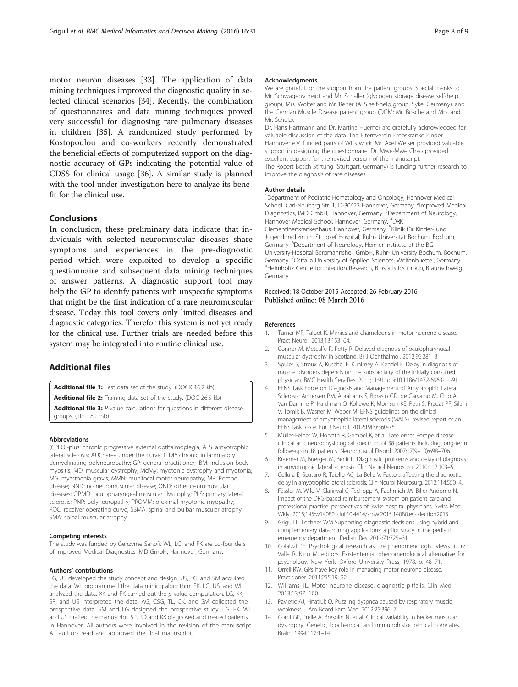<span id="page-7-0"></span>motor neuron diseases [[33\]](#page-8-0). The application of data mining techniques improved the diagnostic quality in selected clinical scenarios [\[34\]](#page-8-0). Recently, the combination of questionnaires and data mining techniques proved very successful for diagnosing rare pulmonary diseases in children [[35](#page-8-0)]. A randomized study performed by Kostopoulou and co-workers recently demonstrated the beneficial effects of computerized support on the diagnostic accuracy of GPs indicating the potential value of CDSS for clinical usage [\[36](#page-8-0)]. A similar study is planned with the tool under investigation here to analyze its benefit for the clinical use.

# **Conclusions**

In conclusion, these preliminary data indicate that individuals with selected neuromuscular diseases share symptoms and experiences in the pre-diagnostic period which were exploited to develop a specific questionnaire and subsequent data mining techniques of answer patterns. A diagnostic support tool may help the GP to identify patients with unspecific symptoms that might be the first indication of a rare neuromuscular disease. Today this tool covers only limited diseases and diagnostic categories. Therefor this system is not yet ready for the clinical use. Further trials are needed before this system may be integrated into routine clinical use.

# Additional files

[Additional file 1:](dx.doi.org/10.1186/s12911-016-0268-5) Test data set of the study. (DOCX 16.2 kb)

[Additional file 2:](dx.doi.org/10.1186/s12911-016-0268-5) Training data set of the study. (DOC 26.5 kb) [Additional file 3:](dx.doi.org/10.1186/s12911-016-0268-5) P-value calculations for questions in different disease groups. (TIF 1.80 mb)

#### Abbreviations

(CPEO)-plus: chronic progressive external opthalmoplegia; ALS: amyotrophic lateral sclerosis; AUC: area under the curve; CIDP: chronic inflammatory demyelinating polyneuropathy; GP: general practitioner; IBM: inclusion body myositis; MD: muscular dystrophy; MdMy: myotonic dystrophy and myotonia; MG: myasthenia gravis; MMN: multifocal motor neuropathy; MP: Pompe disease; NND: no neuromuscular disease; OND: other neuromuscular diseases; OPMD: oculopharyngeal muscular dystrophy; PLS: primary lateral sclerosis; PNP: polyneuropathy; PROMM: proximal myotonic myopathy; ROC: receiver operating curve; SBMA: spinal and bulbar muscular atrophy; SMA: spinal muscular atrophy.

#### Competing interests

The study was funded by Genzyme Sanofi. WL, LG, and FK are co-founders of Improved Medical Diagnostics IMD GmbH, Hannover, Germany.

#### Authors' contributions

LG, US developed the study concept and design. US, LG, and SM acquired the data. WL programmed the data mining algorithm. FK, LG, US, and WL analyzed the data. XK and FK carried out the p-value computation. LG, KK, SP, and US interpreted the data. AG, CSG, TL, CK, and SM collected the prospective data. SM and LG designed the prospective study. LG, FK, WL, and US drafted the manuscript. SP, RD and KK diagnosed and treated patients in Hannover. All authors were involved in the revision of the manuscript. All authors read and approved the final manuscript.

#### Acknowledgments

We are grateful for the support from the patient groups. Special thanks to Mr. Schwagenscheidt and Mr. Schaller (glycogen storage disease self-help group), Mrs. Wolter and Mr. Reher (ALS self-help group, Syke, Germany), and the German Muscle Disease patient group (DGM; Mr. Bösche and Mrs. and Mr. Schulz).

Dr. Hans Hartmann and Dr. Martina Huemer are gratefully acknowledged for valuable discussion of the data. The Elternverein Krebskranke Kinder Hannover e.V. funded parts of WL's work. Mr. Axel Weiser provided valuable support in designing the questionnaire. Dr. Mwe-Mwe Chao provided excellent support for the revised version of the manuscript. The Robert Bosch Stiftung (Stuttgart, Germany) is funding further research to improve the diagnosis of rare diseases.

#### Author details

<sup>1</sup>Department of Pediatric Hematology and Oncology, Hannover Medical School, Carl-Neuberg Str. 1, D-30623 Hannover, Germany. <sup>2</sup>Improved Medical Diagnostics, IMD GmbH, Hannover, Germany. <sup>3</sup>Department of Neurology Hannover Medical School, Hannover, Germany. <sup>4</sup>DRK Clementinenkrankenhaus, Hannover, Germany. <sup>5</sup>Klinik für Kinder- und Jugendmedizin im St. Josef Hospital, Ruhr- Universität Bochum, Bochum, Germany. <sup>6</sup>Department of Neurology, Heimer-Institute at the BG University-Hospital Bergmannsheil GmbH, Ruhr- University Bochum, Bochum, Germany. <sup>7</sup>Ostfalia University of Applied Sciences, Wolfenbuettel, Germany <sup>8</sup>Helmholtz Centre for Infection Research, Biostatistics Group, Braunschweig, Germany.

#### Received: 18 October 2015 Accepted: 26 February 2016 Published online: 08 March 2016

#### References

- 1. Turner MR, Talbot K. Mimics and chameleons in motor neurone disease. Pract Neurol. 2013;13:153–64.
- 2. Connor M, Metcalfe R, Petty R. Delayed diagnosis of oculopharyngeal muscular dystrophy in Scotland. Br J Ophthalmol. 2012;96:281–3.
- 3. Spuler S, Stroux A, Kuschel F, Kuhlmey A, Kendel F. Delay in diagnosis of muscle disorders depends on the subspecialty of the initially consulted physician. BMC Health Serv Res. 2011;11:91. doi:[10.1186/1472-6963-11-91.](http://dx.doi.org/10.1186/1472-6963-11-91)
- 4. EFNS Task Force on Diagnosis and Management of Amyotrophic Lateral Sclerosis: Andersen PM, Abrahams S, Borasio GD, de Carvalho M, Chio A, Van Damme P, Hardiman O, Kollewe K, Morrison KE, Petri S, Pradat PF, Silani V, Tomik B, Wasner M, Weber M. EFNS guidelines on the clinical management of amyotrophic lateral sclerosis (MALS)–revised report of an EFNS task force. Eur J Neurol. 2012;19(3):360-75.
- 5. Müller-Felber W, Horvath R, Gempel K, et al. Late onset Pompe disease: clinical and neurophysiological spectrum of 38 patients including long-term follow-up in 18 patients. Neuromuscul Disord. 2007;17(9–10):698–706.
- 6. Kraemer M, Buerger M, Berlit P. Diagnostic problems and delay of diagnosis in amyotrophic lateral sclerosis. Clin Neurol Neurosurg. 2010;112:103–5.
- 7. Cellura E, Spataro R, Taiello AC, La Bella V. Factors affecting the diagnostic delay in amyotrophic lateral sclerosis. Clin Neurol Neurosurg. 2012;114:550–4.
- 8. Fässler M, Wild V, Clarinval C, Tschopp A, Faehnrich JA, Biller-Andorno N. Impact of the DRG-based reimbursement system on patient care and professional practise: perspectives of Swiss hospital physicians. Swiss Med Wkly. 2015;145:w14080. doi[:10.4414/smw.2015.14080.eCollection2015.](http://dx.doi.org/10.4414/smw.2015.14080.eCollection2015)
- 9. Grigull L. Lechner WM Supporting diagnostic decisions using hybrid and complementary data mining applications: a pilot study in the pediatric emergency department. Pediatr Res. 2012;71:725–31.
- 10. Colaizzi PF. Psychological research as the phenomenologist views it. In: Valle R, King M, editors. Existentential phenomenological alternative for psychology. New York: Oxford University Press; 1978. p. 48–71.
- 11. Orrell RW. GPs have key role in managing motor neurone disease. Practitioner. 2011;255:19–22.
- 12. Williams TL. Motor neurone disease: diagnostic pitfalls. Clin Med. 2013;13:97–100.
- 13. Pavletic AJ, Hnatiuk O. Puzzling dyspnea caused by respiratory muscle weakness. J Am Board Fam Med. 2012;25:396–7.
- 14. Comi GP, Prelle A, Bresolin N, et al. Clinical variability in Becker muscular dystrophy. Genetic, biochemical and immunohistochemical correlates. Brain. 1994;117:1–14.